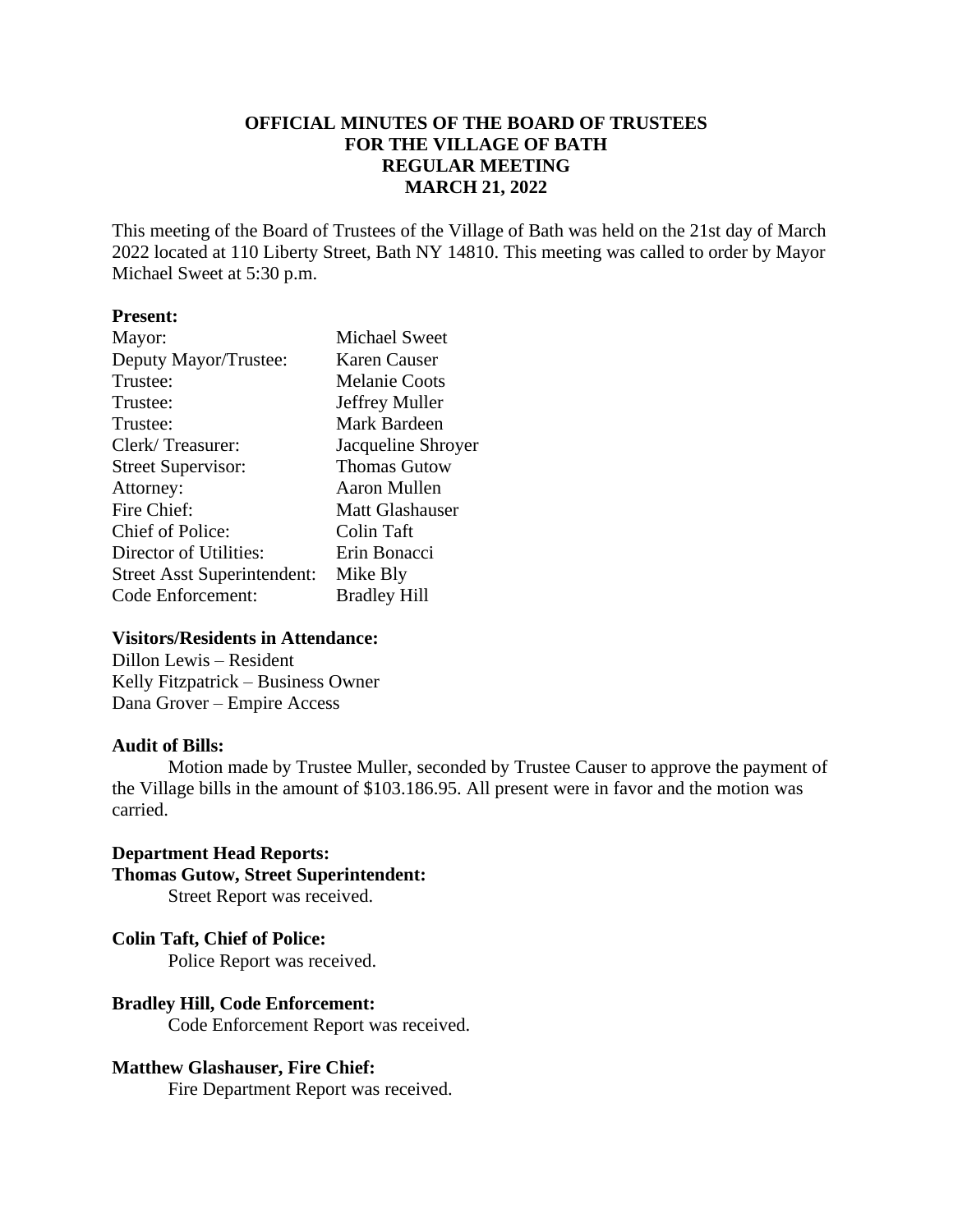# **OFFICIAL MINUTES OF THE BOARD OF TRUSTEES FOR THE VILLAGE OF BATH REGULAR MEETING MARCH 21, 2022**

This meeting of the Board of Trustees of the Village of Bath was held on the 21st day of March 2022 located at 110 Liberty Street, Bath NY 14810. This meeting was called to order by Mayor Michael Sweet at 5:30 p.m.

# **Present:**

| Mayor:                             | <b>Michael Sweet</b> |
|------------------------------------|----------------------|
| Deputy Mayor/Trustee:              | Karen Causer         |
| Trustee:                           | <b>Melanie Coots</b> |
| Trustee:                           | Jeffrey Muller       |
| Trustee:                           | Mark Bardeen         |
| Clerk/Treasurer:                   | Jacqueline Shroyer   |
| <b>Street Supervisor:</b>          | <b>Thomas Gutow</b>  |
| Attorney:                          | Aaron Mullen         |
| Fire Chief:                        | Matt Glashauser      |
| Chief of Police:                   | Colin Taft           |
| Director of Utilities:             | Erin Bonacci         |
| <b>Street Asst Superintendent:</b> | Mike Bly             |
| Code Enforcement:                  | <b>Bradley Hill</b>  |

### **Visitors/Residents in Attendance:**

Dillon Lewis – Resident Kelly Fitzpatrick – Business Owner Dana Grover – Empire Access

#### **Audit of Bills:**

Motion made by Trustee Muller, seconded by Trustee Causer to approve the payment of the Village bills in the amount of \$103.186.95. All present were in favor and the motion was carried.

# **Department Head Reports: Thomas Gutow, Street Superintendent:**

Street Report was received.

## **Colin Taft, Chief of Police:**

Police Report was received.

# **Bradley Hill, Code Enforcement:**

Code Enforcement Report was received.

## **Matthew Glashauser, Fire Chief:**

Fire Department Report was received.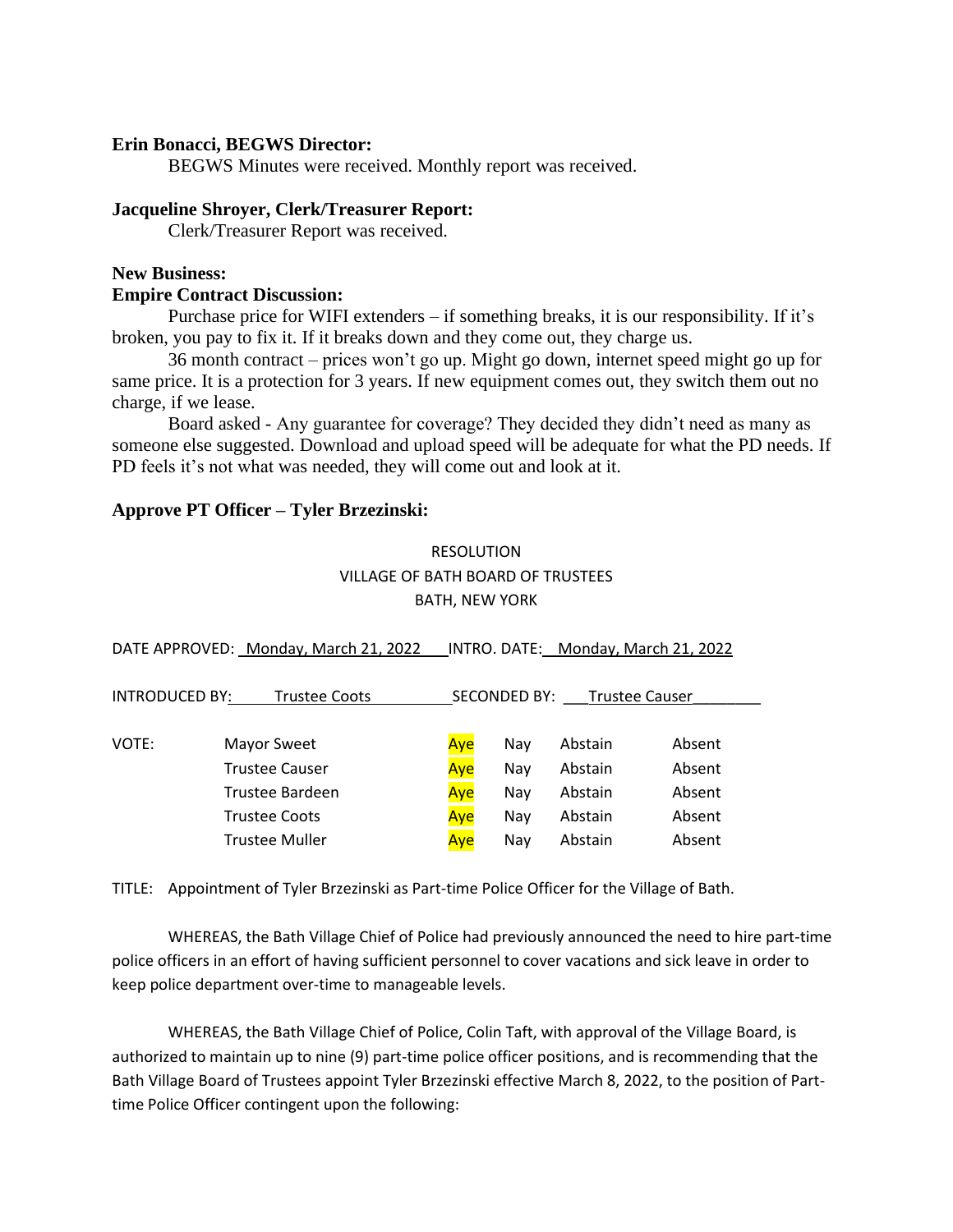## **Erin Bonacci, BEGWS Director:**

BEGWS Minutes were received. Monthly report was received.

### **Jacqueline Shroyer, Clerk/Treasurer Report:**

Clerk/Treasurer Report was received.

## **New Business:**

#### **Empire Contract Discussion:**

Purchase price for WIFI extenders – if something breaks, it is our responsibility. If it's broken, you pay to fix it. If it breaks down and they come out, they charge us.

36 month contract – prices won't go up. Might go down, internet speed might go up for same price. It is a protection for 3 years. If new equipment comes out, they switch them out no charge, if we lease.

Board asked - Any guarantee for coverage? They decided they didn't need as many as someone else suggested. Download and upload speed will be adequate for what the PD needs. If PD feels it's not what was needed, they will come out and look at it.

## **Approve PT Officer – Tyler Brzezinski:**

# RESOLUTION VILLAGE OF BATH BOARD OF TRUSTEES BATH, NEW YORK

| DATE APPROVED: Monday, March 21, 2022    |                       |     | INTRO. DATE: Monday, March 21, 2022 |                       |        |  |
|------------------------------------------|-----------------------|-----|-------------------------------------|-----------------------|--------|--|
| <b>INTRODUCED BY:</b>                    | <b>Trustee Coots</b>  |     | SECONDED BY:                        | <b>Trustee Causer</b> |        |  |
| VOTE:                                    | Mayor Sweet           | Aye | Nay                                 | Abstain               | Absent |  |
| <b>Trustee Causer</b><br>Trustee Bardeen |                       | Aye | Nay                                 | Abstain               | Absent |  |
|                                          |                       | Aye | Nay                                 | Abstain               | Absent |  |
| <b>Trustee Coots</b>                     | Aye                   | Nay | Abstain                             | Absent                |        |  |
|                                          | <b>Trustee Muller</b> | Aye | Nay                                 | Abstain               | Absent |  |

TITLE: Appointment of Tyler Brzezinski as Part-time Police Officer for the Village of Bath.

WHEREAS, the Bath Village Chief of Police had previously announced the need to hire part-time police officers in an effort of having sufficient personnel to cover vacations and sick leave in order to keep police department over-time to manageable levels.

WHEREAS, the Bath Village Chief of Police, Colin Taft, with approval of the Village Board, is authorized to maintain up to nine (9) part-time police officer positions, and is recommending that the Bath Village Board of Trustees appoint Tyler Brzezinski effective March 8, 2022, to the position of Parttime Police Officer contingent upon the following: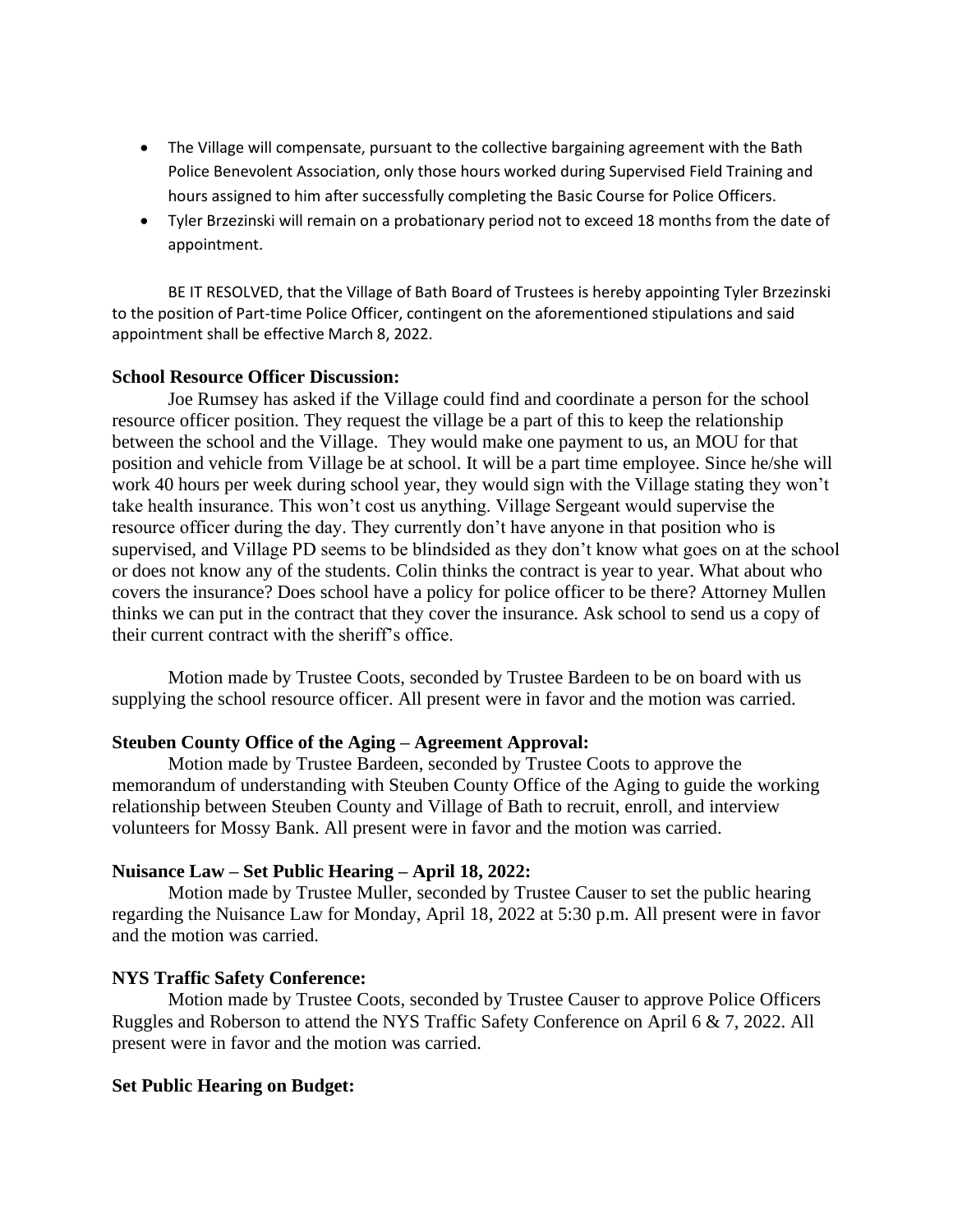- The Village will compensate, pursuant to the collective bargaining agreement with the Bath Police Benevolent Association, only those hours worked during Supervised Field Training and hours assigned to him after successfully completing the Basic Course for Police Officers.
- Tyler Brzezinski will remain on a probationary period not to exceed 18 months from the date of appointment.

BE IT RESOLVED, that the Village of Bath Board of Trustees is hereby appointing Tyler Brzezinski to the position of Part-time Police Officer, contingent on the aforementioned stipulations and said appointment shall be effective March 8, 2022.

## **School Resource Officer Discussion:**

Joe Rumsey has asked if the Village could find and coordinate a person for the school resource officer position. They request the village be a part of this to keep the relationship between the school and the Village. They would make one payment to us, an MOU for that position and vehicle from Village be at school. It will be a part time employee. Since he/she will work 40 hours per week during school year, they would sign with the Village stating they won't take health insurance. This won't cost us anything. Village Sergeant would supervise the resource officer during the day. They currently don't have anyone in that position who is supervised, and Village PD seems to be blindsided as they don't know what goes on at the school or does not know any of the students. Colin thinks the contract is year to year. What about who covers the insurance? Does school have a policy for police officer to be there? Attorney Mullen thinks we can put in the contract that they cover the insurance. Ask school to send us a copy of their current contract with the sheriff's office.

Motion made by Trustee Coots, seconded by Trustee Bardeen to be on board with us supplying the school resource officer. All present were in favor and the motion was carried.

## **Steuben County Office of the Aging – Agreement Approval:**

Motion made by Trustee Bardeen, seconded by Trustee Coots to approve the memorandum of understanding with Steuben County Office of the Aging to guide the working relationship between Steuben County and Village of Bath to recruit, enroll, and interview volunteers for Mossy Bank. All present were in favor and the motion was carried.

## **Nuisance Law – Set Public Hearing – April 18, 2022:**

Motion made by Trustee Muller, seconded by Trustee Causer to set the public hearing regarding the Nuisance Law for Monday, April 18, 2022 at 5:30 p.m. All present were in favor and the motion was carried.

## **NYS Traffic Safety Conference:**

Motion made by Trustee Coots, seconded by Trustee Causer to approve Police Officers Ruggles and Roberson to attend the NYS Traffic Safety Conference on April 6 & 7, 2022. All present were in favor and the motion was carried.

## **Set Public Hearing on Budget:**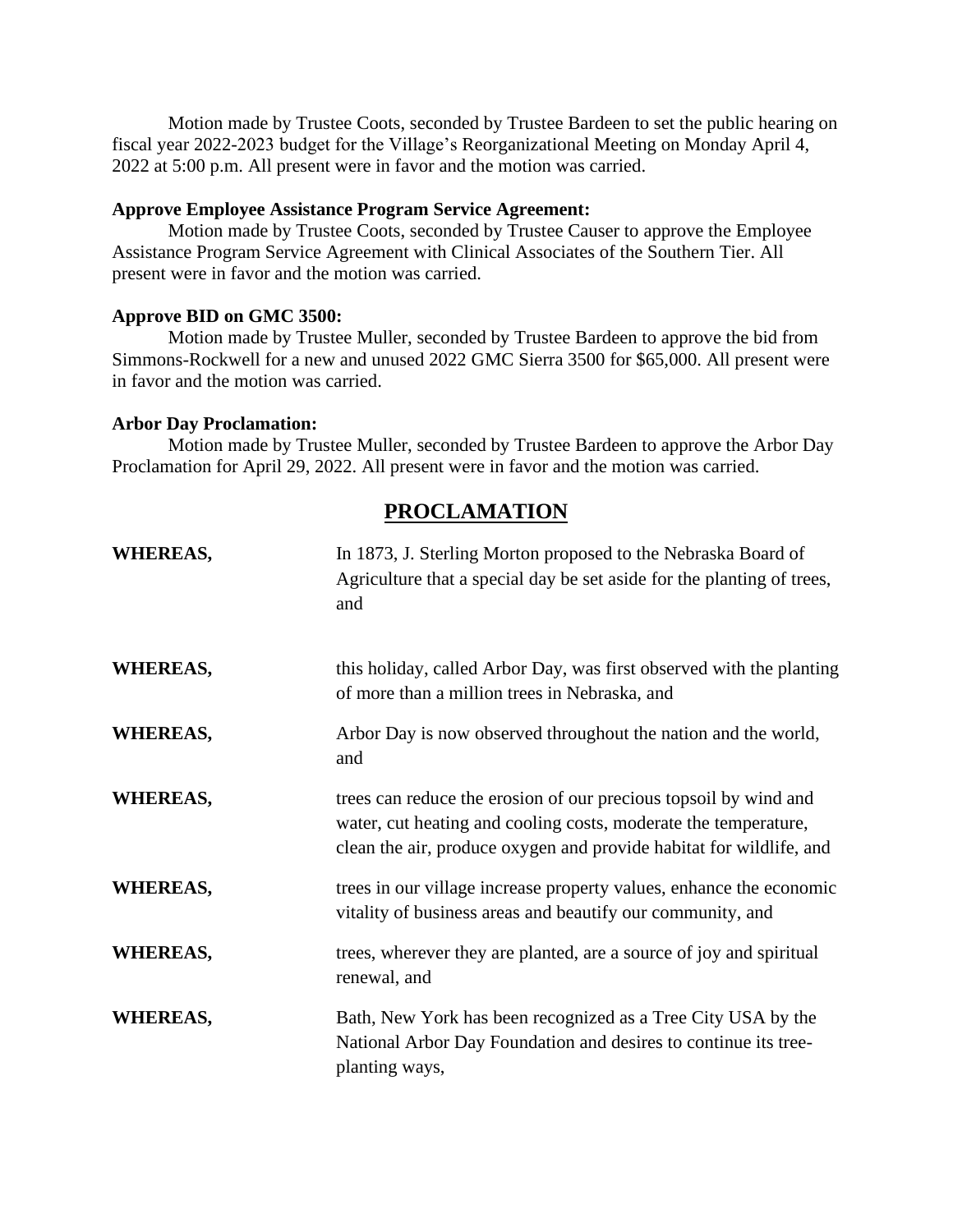Motion made by Trustee Coots, seconded by Trustee Bardeen to set the public hearing on fiscal year 2022-2023 budget for the Village's Reorganizational Meeting on Monday April 4, 2022 at 5:00 p.m. All present were in favor and the motion was carried.

## **Approve Employee Assistance Program Service Agreement:**

Motion made by Trustee Coots, seconded by Trustee Causer to approve the Employee Assistance Program Service Agreement with Clinical Associates of the Southern Tier. All present were in favor and the motion was carried.

#### **Approve BID on GMC 3500:**

Motion made by Trustee Muller, seconded by Trustee Bardeen to approve the bid from Simmons-Rockwell for a new and unused 2022 GMC Sierra 3500 for \$65,000. All present were in favor and the motion was carried.

#### **Arbor Day Proclamation:**

Motion made by Trustee Muller, seconded by Trustee Bardeen to approve the Arbor Day Proclamation for April 29, 2022. All present were in favor and the motion was carried.

# **PROCLAMATION**

| <b>WHEREAS,</b> | In 1873, J. Sterling Morton proposed to the Nebraska Board of<br>Agriculture that a special day be set aside for the planting of trees,<br>and                                                             |
|-----------------|------------------------------------------------------------------------------------------------------------------------------------------------------------------------------------------------------------|
| <b>WHEREAS,</b> | this holiday, called Arbor Day, was first observed with the planting<br>of more than a million trees in Nebraska, and                                                                                      |
| <b>WHEREAS,</b> | Arbor Day is now observed throughout the nation and the world,<br>and                                                                                                                                      |
| <b>WHEREAS,</b> | trees can reduce the erosion of our precious topsoil by wind and<br>water, cut heating and cooling costs, moderate the temperature,<br>clean the air, produce oxygen and provide habitat for wildlife, and |
| <b>WHEREAS,</b> | trees in our village increase property values, enhance the economic<br>vitality of business areas and beautify our community, and                                                                          |
| <b>WHEREAS,</b> | trees, wherever they are planted, are a source of joy and spiritual<br>renewal, and                                                                                                                        |
| <b>WHEREAS,</b> | Bath, New York has been recognized as a Tree City USA by the<br>National Arbor Day Foundation and desires to continue its tree-<br>planting ways,                                                          |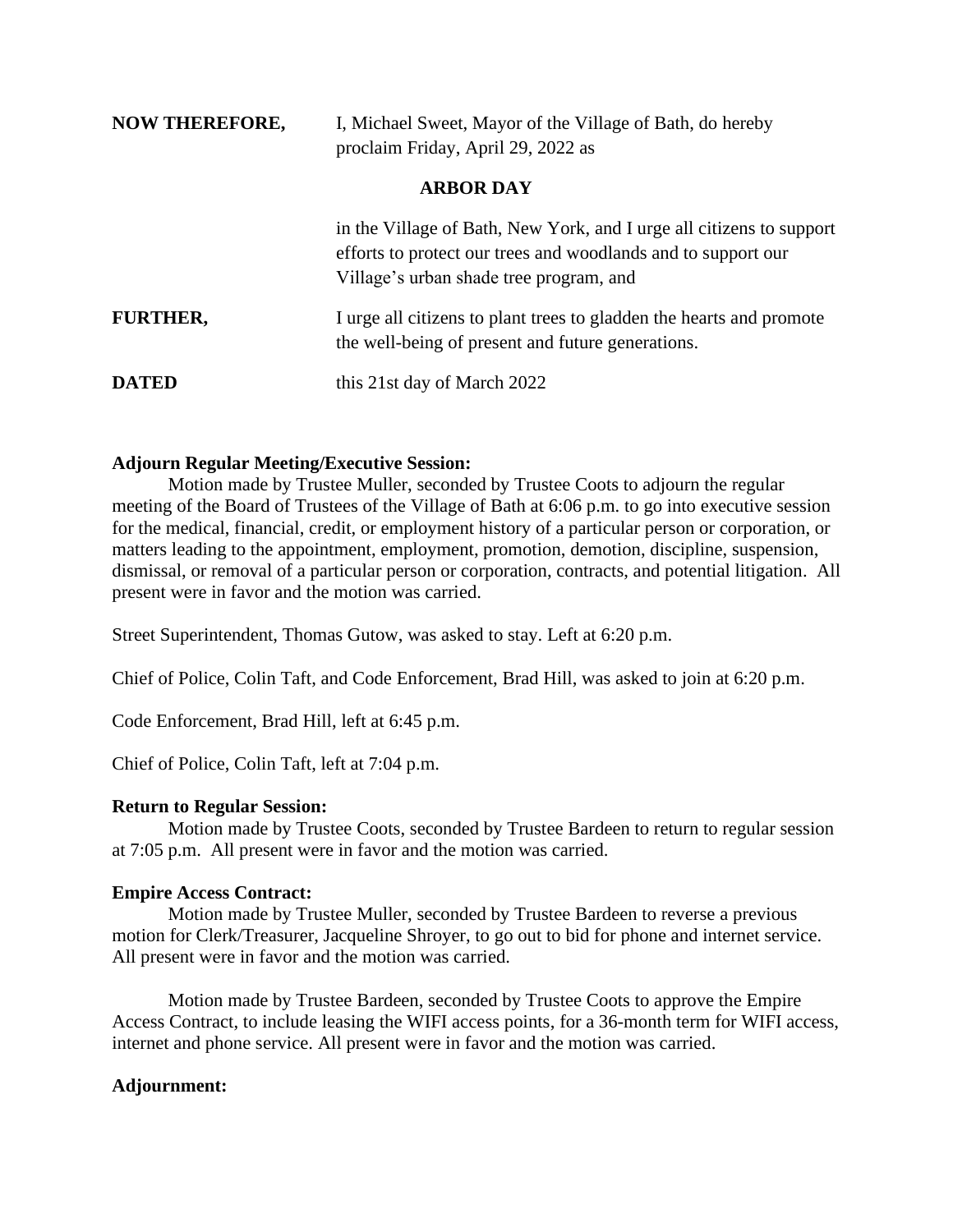| <b>NOW THEREFORE,</b> | I, Michael Sweet, Mayor of the Village of Bath, do hereby<br>proclaim Friday, April 29, 2022 as                                                                                  |  |
|-----------------------|----------------------------------------------------------------------------------------------------------------------------------------------------------------------------------|--|
|                       | <b>ARBOR DAY</b>                                                                                                                                                                 |  |
|                       | in the Village of Bath, New York, and I urge all citizens to support<br>efforts to protect our trees and woodlands and to support our<br>Village's urban shade tree program, and |  |
| <b>FURTHER,</b>       | I urge all citizens to plant trees to gladden the hearts and promote<br>the well-being of present and future generations.                                                        |  |

**DATED** this 21st day of March 2022

# **Adjourn Regular Meeting/Executive Session:**

Motion made by Trustee Muller, seconded by Trustee Coots to adjourn the regular meeting of the Board of Trustees of the Village of Bath at 6:06 p.m. to go into executive session for the medical, financial, credit, or employment history of a particular person or corporation, or matters leading to the appointment, employment, promotion, demotion, discipline, suspension, dismissal, or removal of a particular person or corporation, contracts, and potential litigation. All present were in favor and the motion was carried.

Street Superintendent, Thomas Gutow, was asked to stay. Left at 6:20 p.m.

Chief of Police, Colin Taft, and Code Enforcement, Brad Hill, was asked to join at 6:20 p.m.

Code Enforcement, Brad Hill, left at 6:45 p.m.

Chief of Police, Colin Taft, left at 7:04 p.m.

# **Return to Regular Session:**

Motion made by Trustee Coots, seconded by Trustee Bardeen to return to regular session at 7:05 p.m. All present were in favor and the motion was carried.

# **Empire Access Contract:**

Motion made by Trustee Muller, seconded by Trustee Bardeen to reverse a previous motion for Clerk/Treasurer, Jacqueline Shroyer, to go out to bid for phone and internet service. All present were in favor and the motion was carried.

Motion made by Trustee Bardeen, seconded by Trustee Coots to approve the Empire Access Contract, to include leasing the WIFI access points, for a 36-month term for WIFI access, internet and phone service. All present were in favor and the motion was carried.

# **Adjournment:**